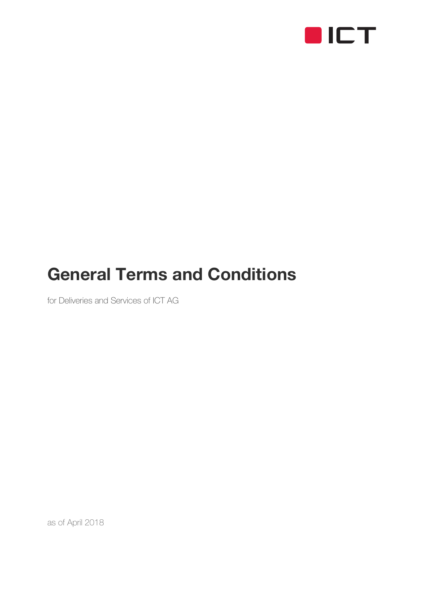

# General Terms and Conditions

for Deliveries and Services of ICT AG

as of April 2018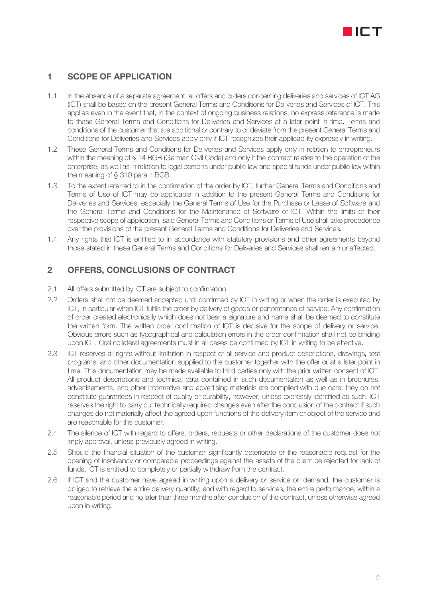

## 1 SCOPE OF APPLICATION

- 1.1 In the absence of a separate agreement, all offers and orders concerning deliveries and services of ICT AG (ICT) shall be based on the present General Terms and Conditions for Deliveries and Services of ICT. This applies even in the event that, in the context of ongoing business relations, no express reference is made to these General Terms and Conditions for Deliveries and Services at a later point in time. Terms and conditions of the customer that are additional or contrary to or deviate from the present General Terms and Conditions for Deliveries and Services apply only if ICT recognizes their applicability expressly in writing.
- 1.2 These General Terms and Conditions for Deliveries and Services apply only in relation to entrepreneurs within the meaning of § 14 BGB (German Civil Code) and only if the contract relates to the operation of the enterprise, as well as in relation to legal persons under public law and special funds under public law within the meaning of § 310 para.1 BGB.
- 1.3 To the extent referred to in the confirmation of the order by ICT, further General Terms and Conditions and Terms of Use of ICT may be applicable in addition to the present General Terms and Conditions for Deliveries and Services, especially the General Terms of Use for the Purchase or Lease of Software and the General Terms and Conditions for the Maintenance of Software of ICT. Within the limits of their respective scope of application, said General Terms and Conditions or Terms of Use shall take precedence over the provisions of the present General Terms and Conditions for Deliveries and Services.
- 1.4 Any rights that ICT is entitled to in accordance with statutory provisions and other agreements beyond those stated in these General Terms and Conditions for Deliveries and Services shall remain unaffected.

## 2 OFFERS, CONCLUSIONS OF CONTRACT

- 2.1 All offers submitted by ICT are subject to confirmation.
- 2.2 Orders shall not be deemed accepted until confirmed by ICT in writing or when the order is executed by ICT, in particular when ICT fulfils the order by delivery of goods or performance of service. Any confirmation of order created electronically which does not bear a signature and name shall be deemed to constitute the written form. The written order confirmation of ICT is decisive for the scope of delivery or service. Obvious errors such as typographical and calculation errors in the order confirmation shall not be binding upon ICT. Oral collateral agreements must in all cases be confirmed by ICT in writing to be effective.
- 2.3 ICT reserves all rights without limitation in respect of all service and product descriptions, drawings, test programs, and other documentation supplied to the customer together with the offer or at a later point in time. This documentation may be made available to third parties only with the prior written consent of ICT. All product descriptions and technical data contained in such documentation as well as in brochures, advertisements, and other informative and advertising materials are compiled with due care; they do not constitute guarantees in respect of quality or durability, however, unless expressly identified as such. ICT reserves the right to carry out technically required changes even after the conclusion of the contract if such changes do not materially affect the agreed upon functions of the delivery item or object of the service and are reasonable for the customer.
- 2.4 The silence of ICT with regard to offers, orders, requests or other declarations of the customer does not imply approval, unless previously agreed in writing.
- 2.5 Should the financial situation of the customer significantly deteriorate or the reasonable request for the opening of insolvency or comparable proceedings against the assets of the client be rejected for lack of funds, ICT is entitled to completely or partially withdraw from the contract.
- 2.6 If ICT and the customer have agreed in writing upon a delivery or service on demand, the customer is obliged to retrieve the entire delivery quantity; and with regard to services, the entire performance, within a reasonable period and no later than three months after conclusion of the contract, unless otherwise agreed upon in writing.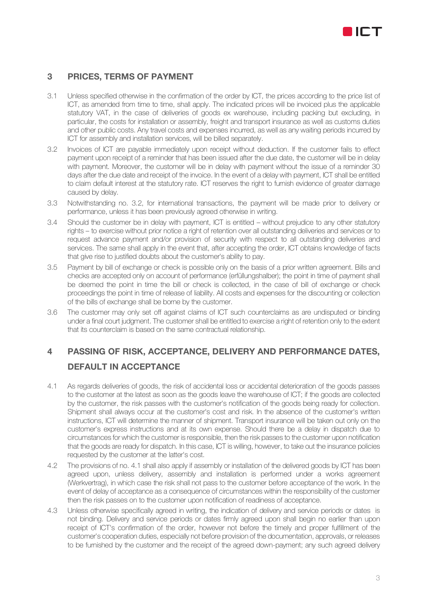

## 3 PRICES, TERMS OF PAYMENT

- 3.1 Unless specified otherwise in the confirmation of the order by ICT, the prices according to the price list of ICT, as amended from time to time, shall apply. The indicated prices will be invoiced plus the applicable statutory VAT, in the case of deliveries of goods ex warehouse, including packing but excluding, in particular, the costs for installation or assembly, freight and transport insurance as well as customs duties and other public costs. Any travel costs and expenses incurred, as well as any waiting periods incurred by ICT for assembly and installation services, will be billed separately.
- 3.2 Invoices of ICT are payable immediately upon receipt without deduction. If the customer fails to effect payment upon receipt of a reminder that has been issued after the due date, the customer will be in delay with payment. Moreover, the customer will be in delay with payment without the issue of a reminder 30 days after the due date and receipt of the invoice. In the event of a delay with payment, ICT shall be entitled to claim default interest at the statutory rate. ICT reserves the right to furnish evidence of greater damage caused by delay.
- 3.3 Notwithstanding no. 3.2, for international transactions, the payment will be made prior to delivery or performance, unless it has been previously agreed otherwise in writing.
- 3.4 Should the customer be in delay with payment, ICT is entitled without prejudice to any other statutory rights – to exercise without prior notice a right of retention over all outstanding deliveries and services or to request advance payment and/or provision of security with respect to all outstanding deliveries and services. The same shall apply in the event that, after accepting the order, ICT obtains knowledge of facts that give rise to justified doubts about the customer's ability to pay.
- 3.5 Payment by bill of exchange or check is possible only on the basis of a prior written agreement. Bills and checks are accepted only on account of performance (erfüllungshalber); the point in time of payment shall be deemed the point in time the bill or check is collected, in the case of bill of exchange or check proceedings the point in time of release of liability. All costs and expenses for the discounting or collection of the bills of exchange shall be borne by the customer.
- 3.6 The customer may only set off against claims of ICT such counterclaims as are undisputed or binding under a final court judgment. The customer shall be entitled to exercise a right of retention only to the extent that its counterclaim is based on the same contractual relationship.

## 4 PASSING OF RISK, ACCEPTANCE, DELIVERY AND PERFORMANCE DATES, DEFAULT IN ACCEPTANCE

- 4.1 As regards deliveries of goods, the risk of accidental loss or accidental deterioration of the goods passes to the customer at the latest as soon as the goods leave the warehouse of ICT; if the goods are collected by the customer, the risk passes with the customer's notification of the goods being ready for collection. Shipment shall always occur at the customer's cost and risk. In the absence of the customer's written instructions, ICT will determine the manner of shipment. Transport insurance will be taken out only on the customer's express instructions and at its own expense. Should there be a delay in dispatch due to circumstances for which the customer is responsible, then the risk passes to the customer upon notification that the goods are ready for dispatch. In this case, ICT is willing, however, to take out the insurance policies requested by the customer at the latter's cost.
- 4.2 The provisions of no. 4.1 shall also apply if assembly or installation of the delivered goods by ICT has been agreed upon, unless delivery, assembly and installation is performed under a works agreement (Werkvertrag), in which case the risk shall not pass to the customer before acceptance of the work. In the event of delay of acceptance as a consequence of circumstances within the responsibility of the customer then the risk passes on to the customer upon notification of readiness of acceptance.
- 4.3 Unless otherwise specifically agreed in writing, the indication of delivery and service periods or dates is not binding. Delivery and service periods or dates firmly agreed upon shall begin no earlier than upon receipt of ICT's confirmation of the order, however not before the timely and proper fulfillment of the customer's cooperation duties, especially not before provision of the documentation, approvals, or releases to be furnished by the customer and the receipt of the agreed down-payment; any such agreed delivery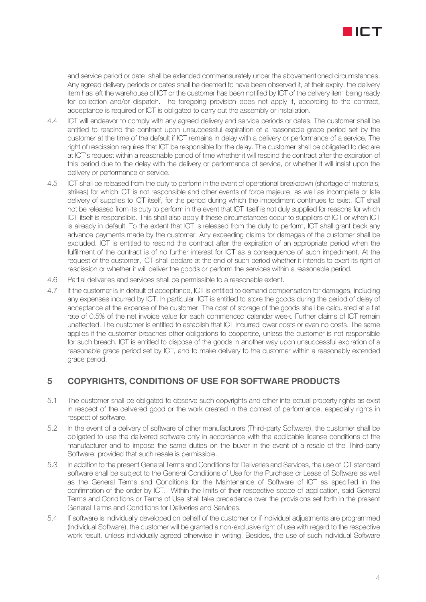

and service period or date shall be extended commensurately under the abovementioned circumstances. Any agreed delivery periods or dates shall be deemed to have been observed if, at their expiry, the delivery item has left the warehouse of ICT or the customer has been notified by ICT of the delivery item being ready for collection and/or dispatch. The foregoing provision does not apply if, according to the contract, acceptance is required or ICT is obligated to carry out the assembly or installation.

- 4.4 ICT will endeavor to comply with any agreed delivery and service periods or dates. The customer shall be entitled to rescind the contract upon unsuccessful expiration of a reasonable grace period set by the customer at the time of the default if ICT remains in delay with a delivery or performance of a service. The right of rescission requires that ICT be responsible for the delay. The customer shall be obligated to declare at ICT's request within a reasonable period of time whether it will rescind the contract after the expiration of this period due to the delay with the delivery or performance of service, or whether it will insist upon the delivery or performance of service.
- 4.5 ICT shall be released from the duty to perform in the event of operational breakdown (shortage of materials, strikes) for which ICT is not responsible and other events of force majeure, as well as incomplete or late delivery of supplies to ICT itself, for the period during which the impediment continues to exist. ICT shall not be released from its duty to perform in the event that ICT itself is not duly supplied for reasons for which ICT itself is responsible. This shall also apply if these circumstances occur to suppliers of ICT or when ICT is already in default. To the extent that ICT is released from the duty to perform, ICT shall grant back any advance payments made by the customer. Any exceeding claims for damages of the customer shall be excluded. ICT is entitled to rescind the contract after the expiration of an appropriate period when the fulfillment of the contract is of no further interest for ICT as a consequence of such impediment. At the request of the customer, ICT shall declare at the end of such period whether it intends to exert its right of rescission or whether it will deliver the goods or perform the services within a reasonable period.
- 4.6 Partial deliveries and services shall be permissible to a reasonable extent.
- 4.7 If the customer is in default of acceptance, ICT is entitled to demand compensation for damages, including any expenses incurred by ICT. In particular, ICT is entitled to store the goods during the period of delay of acceptance at the expense of the customer. The cost of storage of the goods shall be calculated at a flat rate of 0.5% of the net invoice value for each commenced calendar week. Further claims of ICT remain unaffected. The customer is entitled to establish that ICT incurred lower costs or even no costs. The same applies if the customer breaches other obligations to cooperate, unless the customer is not responsible for such breach. ICT is entitled to dispose of the goods in another way upon unsuccessful expiration of a reasonable grace period set by ICT, and to make delivery to the customer within a reasonably extended grace period.

## 5 COPYRIGHTS, CONDITIONS OF USE FOR SOFTWARE PRODUCTS

- 5.1 The customer shall be obligated to observe such copyrights and other intellectual property rights as exist in respect of the delivered good or the work created in the context of performance, especially rights in respect of software.
- 5.2 In the event of a delivery of software of other manufacturers (Third-party Software), the customer shall be obligated to use the delivered software only in accordance with the applicable license conditions of the manufacturer and to impose the same duties on the buyer in the event of a resale of the Third-party Software, provided that such resale is permissible.
- 5.3 In addition to the present General Terms and Conditions for Deliveries and Services, the use of ICT standard software shall be subject to the General Conditions of Use for the Purchase or Lease of Software as well as the General Terms and Conditions for the Maintenance of Software of ICT as specified in the confirmation of the order by ICT. Within the limits of their respective scope of application, said General Terms and Conditions or Terms of Use shall take precedence over the provisions set forth in the present General Terms and Conditions for Deliveries and Services.
- 5.4 If software is individually developed on behalf of the customer or if individual adjustments are programmed (Individual Software), the customer will be granted a non-exclusive right of use with regard to the respective work result, unless individually agreed otherwise in writing. Besides, the use of such Individual Software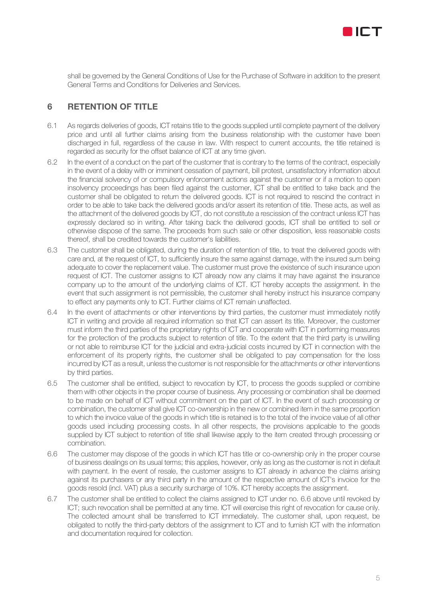

shall be governed by the General Conditions of Use for the Purchase of Software in addition to the present General Terms and Conditions for Deliveries and Services.

## 6 RETENTION OF TITLE

- 6.1 As regards deliveries of goods, ICT retains title to the goods supplied until complete payment of the delivery price and until all further claims arising from the business relationship with the customer have been discharged in full, regardless of the cause in law. With respect to current accounts, the title retained is regarded as security for the offset balance of ICT at any time given.
- 6.2 In the event of a conduct on the part of the customer that is contrary to the terms of the contract, especially in the event of a delay with or imminent cessation of payment, bill protest, unsatisfactory information about the financial solvency of or compulsory enforcement actions against the customer or if a motion to open insolvency proceedings has been filed against the customer, ICT shall be entitled to take back and the customer shall be obligated to return the delivered goods. ICT is not required to rescind the contract in order to be able to take back the delivered goods and/or assert its retention of title. These acts, as well as the attachment of the delivered goods by ICT, do not constitute a rescission of the contract unless ICT has expressly declared so in writing. After taking back the delivered goods, ICT shall be entitled to sell or otherwise dispose of the same. The proceeds from such sale or other disposition, less reasonable costs thereof, shall be credited towards the customer's liabilities.
- 6.3 The customer shall be obligated, during the duration of retention of title, to treat the delivered goods with care and, at the request of ICT, to sufficiently insure the same against damage, with the insured sum being adequate to cover the replacement value. The customer must prove the existence of such insurance upon request of ICT. The customer assigns to ICT already now any claims it may have against the insurance company up to the amount of the underlying claims of ICT. ICT hereby accepts the assignment. In the event that such assignment is not permissible, the customer shall hereby instruct his insurance company to effect any payments only to ICT. Further claims of ICT remain unaffected.
- 6.4 In the event of attachments or other interventions by third parties, the customer must immediately notify ICT in writing and provide all required information so that ICT can assert its title. Moreover, the customer must inform the third parties of the proprietary rights of ICT and cooperate with ICT in performing measures for the protection of the products subject to retention of title. To the extent that the third party is unwilling or not able to reimburse ICT for the judicial and extra-judicial costs incurred by ICT in connection with the enforcement of its property rights, the customer shall be obligated to pay compensation for the loss incurred by ICT as a result, unless the customer is not responsible for the attachments or other interventions by third parties.
- 6.5 The customer shall be entitled, subject to revocation by ICT, to process the goods supplied or combine them with other objects in the proper course of business. Any processing or combination shall be deemed to be made on behalf of ICT without commitment on the part of ICT. In the event of such processing or combination, the customer shall give ICT co-ownership in the new or combined item in the same proportion to which the invoice value of the goods in which title is retained is to the total of the invoice value of all other goods used including processing costs. In all other respects, the provisions applicable to the goods supplied by ICT subject to retention of title shall likewise apply to the item created through processing or combination.
- 6.6 The customer may dispose of the goods in which ICT has title or co-ownership only in the proper course of business dealings on its usual terms; this applies, however, only as long as the customer is not in default with payment. In the event of resale, the customer assigns to ICT already in advance the claims arising against its purchasers or any third party in the amount of the respective amount of ICT's invoice for the goods resold (incl. VAT) plus a security surcharge of 10%. ICT hereby accepts the assignment.
- 6.7 The customer shall be entitled to collect the claims assigned to ICT under no. 6.6 above until revoked by ICT; such revocation shall be permitted at any time. ICT will exercise this right of revocation for cause only. The collected amount shall be transferred to ICT immediately. The customer shall, upon request, be obligated to notify the third-party debtors of the assignment to ICT and to furnish ICT with the information and documentation required for collection.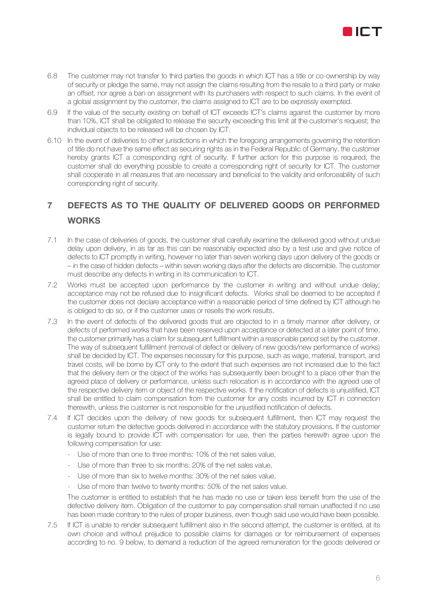

- 6.8 The customer may not transfer to third parties the goods in which ICT has a title or co-ownership by way of security or pledge the same, may not assign the claims resulting from the resale to a third party or make an offset, nor agree a ban on assignment with its purchasers with respect to such claims. In the event of a global assignment by the customer, the claims assigned to ICT are to be expressly exempted.
- 6.9 If the value of the security existing on behalf of ICT exceeds ICT's claims against the customer by more than 10%, ICT shall be obligated to release the security exceeding this limit at the customer's request; the individual objects to be released will be chosen by ICT.
- 6.10 In the event of deliveries to other jurisdictions in which the foregoing arrangements governing the retention of title do not have the same effect as securing rights as in the Federal Republic of Germany, the customer hereby grants ICT a corresponding right of security. If further action for this purpose is required, the customer shall do everything possible to create a corresponding right of security for ICT. The customer shall cooperate in all measures that are necessary and beneficial to the validity and enforceability of such corresponding right of security.

## 7 DEFECTS AS TO THE QUALITY OF DELIVERED GOODS OR PERFORMED **WORKS**

- 7.1 In the case of deliveries of goods, the customer shall carefully examine the delivered good without undue delay upon delivery, in as far as this can be reasonably expected also by a test use and give notice of defects to ICT promptly in writing, however no later than seven working days upon delivery of the goods or – in the case of hidden defects – within seven working days after the defects are discernible. The customer must describe any defects in writing in its communication to ICT.
- 7.2 Works must be accepted upon performance by the customer in writing and without undue delay; acceptance may not be refused due to insignificant defects. Works shall be deemed to be accepted if the customer does not declare acceptance within a reasonable period of time defined by ICT although he is obliged to do so, or if the customer uses or resells the work results.
- 7.3 In the event of defects of the delivered goods that are objected to in a timely manner after delivery, or defects of performed works that have been reserved upon acceptance or detected at a later point of time, the customer primarily has a claim for subsequent fulfillment within a reasonable period set by the customer. The way of subsequent fulfillment (removal of defect or delivery of new goods/new performance of works) shall be decided by ICT. The expenses necessary for this purpose, such as wage, material, transport, and travel costs, will be borne by ICT only to the extent that such expenses are not increased due to the fact that the delivery item or the object of the works has subsequently been brought to a place other than the agreed place of delivery or performance, unless such relocation is in accordance with the agreed use of the respective delivery item or object of the respective works. If the notification of defects is unjustified, ICT shall be entitled to claim compensation from the customer for any costs incurred by ICT in connection therewith, unless the customer is not responsible for the unjustified notification of defects.
- 7.4 If ICT decides upon the delivery of new goods for subsequent fulfillment, then ICT may request the customer return the defective goods delivered in accordance with the statutory provisions. If the customer is legally bound to provide ICT with compensation for use, then the parties herewith agree upon the following compensation for use:
	- Use of more than one to three months: 10% of the net sales value,
	- Use of more than three to six months: 20% of the net sales value,
	- Use of more than six to twelve months: 30% of the net sales value,
	- Use of more than twelve to twenty months: 50% of the net sales value.

The customer is entitled to establish that he has made no use or taken less benefit from the use of the defective delivery item. Obligation of the customer to pay compensation shall remain unaffected if no use has been made contrary to the rules of proper business, even though said use would have been possible.

7.5 If ICT is unable to render subsequent fulfillment also in the second attempt, the customer is entitled, at its own choice and without prejudice to possible claims for damages or for reimbursement of expenses according to no. 9 below, to demand a reduction of the agreed remuneration for the goods delivered or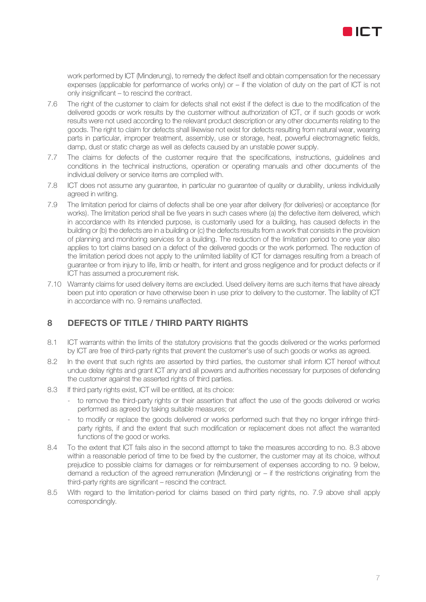

work performed by ICT (Minderung), to remedy the defect itself and obtain compensation for the necessary expenses (applicable for performance of works only) or – if the violation of duty on the part of ICT is not only insignificant – to rescind the contract.

- 7.6 The right of the customer to claim for defects shall not exist if the defect is due to the modification of the delivered goods or work results by the customer without authorization of ICT, or if such goods or work results were not used according to the relevant product description or any other documents relating to the goods. The right to claim for defects shall likewise not exist for defects resulting from natural wear, wearing parts in particular, improper treatment, assembly, use or storage, heat, powerful electromagnetic fields, damp, dust or static charge as well as defects caused by an unstable power supply.
- 7.7 The claims for defects of the customer require that the specifications, instructions, guidelines and conditions in the technical instructions, operation or operating manuals and other documents of the individual delivery or service items are complied with.
- 7.8 ICT does not assume any guarantee, in particular no guarantee of quality or durability, unless individually agreed in writing.
- 7.9 The limitation period for claims of defects shall be one year after delivery (for deliveries) or acceptance (for works). The limitation period shall be five years in such cases where (a) the defective item delivered, which in accordance with its intended purpose, is customarily used for a building, has caused defects in the building or (b) the defects are in a building or (c) the defects results from a work that consists in the provision of planning and monitoring services for a building. The reduction of the limitation period to one year also applies to tort claims based on a defect of the delivered goods or the work performed. The reduction of the limitation period does not apply to the unlimited liability of ICT for damages resulting from a breach of guarantee or from injury to life, limb or health, for intent and gross negligence and for product defects or if ICT has assumed a procurement risk.
- 7.10 Warranty claims for used delivery items are excluded. Used delivery items are such items that have already been put into operation or have otherwise been in use prior to delivery to the customer. The liability of ICT in accordance with no. 9 remains unaffected.

## 8 DEFECTS OF TITLE / THIRD PARTY RIGHTS

- 8.1 ICT warrants within the limits of the statutory provisions that the goods delivered or the works performed by ICT are free of third-party rights that prevent the customer's use of such goods or works as agreed.
- 8.2 In the event that such rights are asserted by third parties, the customer shall inform ICT hereof without undue delay rights and grant ICT any and all powers and authorities necessary for purposes of defending the customer against the asserted rights of third parties.
- 8.3 If third party rights exist, ICT will be entitled, at its choice:
	- to remove the third-party rights or their assertion that affect the use of the goods delivered or works performed as agreed by taking suitable measures; or
	- to modify or replace the goods delivered or works performed such that they no longer infringe thirdparty rights, if and the extent that such modification or replacement does not affect the warranted functions of the good or works.
- 8.4 To the extent that ICT fails also in the second attempt to take the measures according to no. 8.3 above within a reasonable period of time to be fixed by the customer, the customer may at its choice, without prejudice to possible claims for damages or for reimbursement of expenses according to no. 9 below, demand a reduction of the agreed remuneration (Minderung) or – if the restrictions originating from the third-party rights are significant – rescind the contract.
- 8.5 With regard to the limitation-period for claims based on third party rights, no. 7.9 above shall apply correspondingly.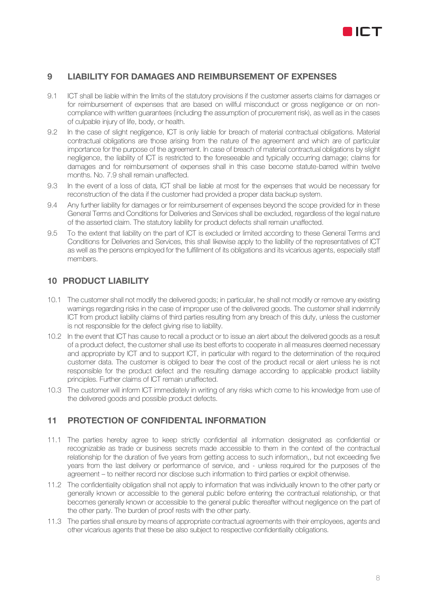

#### 9 LIABILITY FOR DAMAGES AND REIMBURSEMENT OF EXPENSES

- 9.1 ICT shall be liable within the limits of the statutory provisions if the customer asserts claims for damages or for reimbursement of expenses that are based on willful misconduct or gross negligence or on noncompliance with written guarantees (including the assumption of procurement risk), as well as in the cases of culpable injury of life, body, or health.
- 9.2 In the case of slight negligence, ICT is only liable for breach of material contractual obligations. Material contractual obligations are those arising from the nature of the agreement and which are of particular importance for the purpose of the agreement. In case of breach of material contractual obligations by slight negligence, the liability of ICT is restricted to the foreseeable and typically occurring damage; claims for damages and for reimbursement of expenses shall in this case become statute-barred within twelve months. No. 7.9 shall remain unaffected.
- 9.3 In the event of a loss of data, ICT shall be liable at most for the expenses that would be necessary for reconstruction of the data if the customer had provided a proper data backup system.
- 9.4 Any further liability for damages or for reimbursement of expenses beyond the scope provided for in these General Terms and Conditions for Deliveries and Services shall be excluded, regardless of the legal nature of the asserted claim. The statutory liability for product defects shall remain unaffected.
- 9.5 To the extent that liability on the part of ICT is excluded or limited according to these General Terms and Conditions for Deliveries and Services, this shall likewise apply to the liability of the representatives of ICT as well as the persons employed for the fulfillment of its obligations and its vicarious agents, especially staff members.

#### 10 PRODUCT LIABILITY

- 10.1 The customer shall not modify the delivered goods; in particular, he shall not modify or remove any existing warnings regarding risks in the case of improper use of the delivered goods. The customer shall indemnify ICT from product liability claims of third parties resulting from any breach of this duty, unless the customer is not responsible for the defect giving rise to liability.
- 10.2 In the event that ICT has cause to recall a product or to issue an alert about the delivered goods as a result of a product defect, the customer shall use its best efforts to cooperate in all measures deemed necessary and appropriate by ICT and to support ICT, in particular with regard to the determination of the required customer data. The customer is obliged to bear the cost of the product recall or alert unless he is not responsible for the product defect and the resulting damage according to applicable product liability principles. Further claims of ICT remain unaffected.
- 10.3 The customer will inform ICT immediately in writing of any risks which come to his knowledge from use of the delivered goods and possible product defects.

## 11 PROTECTION OF CONFIDENTAL INFORMATION

- 11.1 The parties hereby agree to keep strictly confidential all information designated as confidential or recognizable as trade or business secrets made accessible to them in the context of the contractual relationship for the duration of five years from getting access to such information,, but not exceeding five years from the last delivery or performance of service, and - unless required for the purposes of the agreement – to neither record nor disclose such information to third parties or exploit otherwise.
- 11.2 The confidentiality obligation shall not apply to information that was individually known to the other party or generally known or accessible to the general public before entering the contractual relationship, or that becomes generally known or accessible to the general public thereafter without negligence on the part of the other party. The burden of proof rests with the other party.
- 11.3 The parties shall ensure by means of appropriate contractual agreements with their employees, agents and other vicarious agents that these be also subject to respective confidentiality obligations.